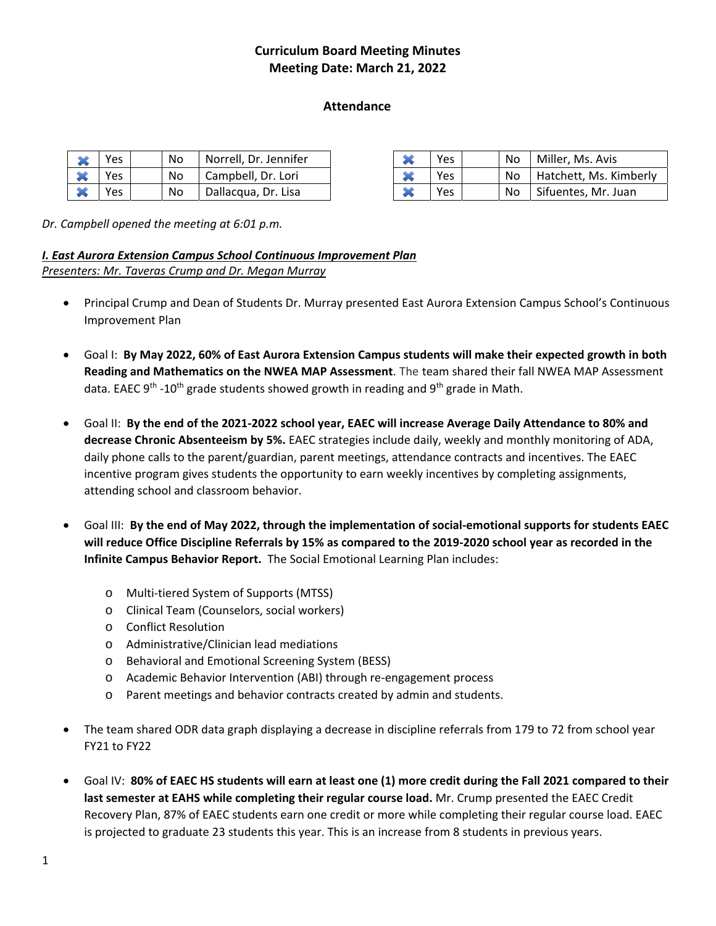# **Curriculum Board Meeting Minutes Meeting Date: March 21, 2022**

#### **Attendance System Contract Contract Contract Contract Contract Contract Contract Contract Contract Contract Contract Contract Contract Contract Contract Contract Contract Contract Contract Contract Contract Contract Contract Contrac**

|           | Yes | No | Norrell, Dr. Jennifer | ∼ | Yes | No  | Miller, Ms. Avis    |
|-----------|-----|----|-----------------------|---|-----|-----|---------------------|
| <b>AM</b> | Yes | No | Campbell, Dr. Lori    | ∼ | Yes | No. | Hatchett, Ms. Kimb  |
|           | Yes | No | Dallacqua, Dr. Lisa   |   | Yes | No  | Sifuentes, Mr. Juan |

| -4             | Yes | No | Norrell, Dr. Jennifer |  | Yes        | No. | Miller, Ms. Avis       |
|----------------|-----|----|-----------------------|--|------------|-----|------------------------|
| هبها<br>◚      | Yes | No | Campbell, Dr. Lori    |  | Yes        | No. | Hatchett, Ms. Kimberly |
| هبها<br>$\sim$ | Yes | No | Dallacqua, Dr. Lisa   |  | <b>Yes</b> | No. | Sifuentes, Mr. Juan    |

*Dr. Campbell opened the meeting at 6:01 p.m.* 

### *I. East Aurora Extension Campus School Continuous Improvement Plan Presenters: Mr. Taveras Crump and Dr. Megan Murray*

- Principal Crump and Dean of Students Dr. Murray presented East Aurora Extension Campus School's Continuous Improvement Plan
- Goal I: **By May 2022, 60% of East Aurora Extension Campus students will make their expected growth in both Reading and Mathematics on the NWEA MAP Assessment**. The team shared their fall NWEA MAP Assessment data. EAEC 9<sup>th</sup> -10<sup>th</sup> grade students showed growth in reading and 9<sup>th</sup> grade in Math.
- Goal II: **By the end of the 2021‐2022 school year, EAEC will increase Average Daily Attendance to 80% and decrease Chronic Absenteeism by 5%.** EAEC strategies include daily, weekly and monthly monitoring of ADA, daily phone calls to the parent/guardian, parent meetings, attendance contracts and incentives. The EAEC incentive program gives students the opportunity to earn weekly incentives by completing assignments, attending school and classroom behavior.
- Goal III: **By the end of May 2022, through the implementation of social‐emotional supports for students EAEC will reduce Office Discipline Referrals by 15% as compared to the 2019‐2020 school year as recorded in the Infinite Campus Behavior Report.** The Social Emotional Learning Plan includes:
	- o Multi‐tiered System of Supports (MTSS)
	- o Clinical Team (Counselors, social workers)
	- o Conflict Resolution
	- o Administrative/Clinician lead mediations
	- o Behavioral and Emotional Screening System (BESS)
	- o Academic Behavior Intervention (ABI) through re‐engagement process
	- o Parent meetings and behavior contracts created by admin and students.
- The team shared ODR data graph displaying a decrease in discipline referrals from 179 to 72 from school year FY21 to FY22
- Goal IV: **80% of EAEC HS students will earn at least one (1) more credit during the Fall 2021 compared to their last semester at EAHS while completing their regular course load.** Mr. Crump presented the EAEC Credit Recovery Plan, 87% of EAEC students earn one credit or more while completing their regular course load. EAEC is projected to graduate 23 students this year. This is an increase from 8 students in previous years.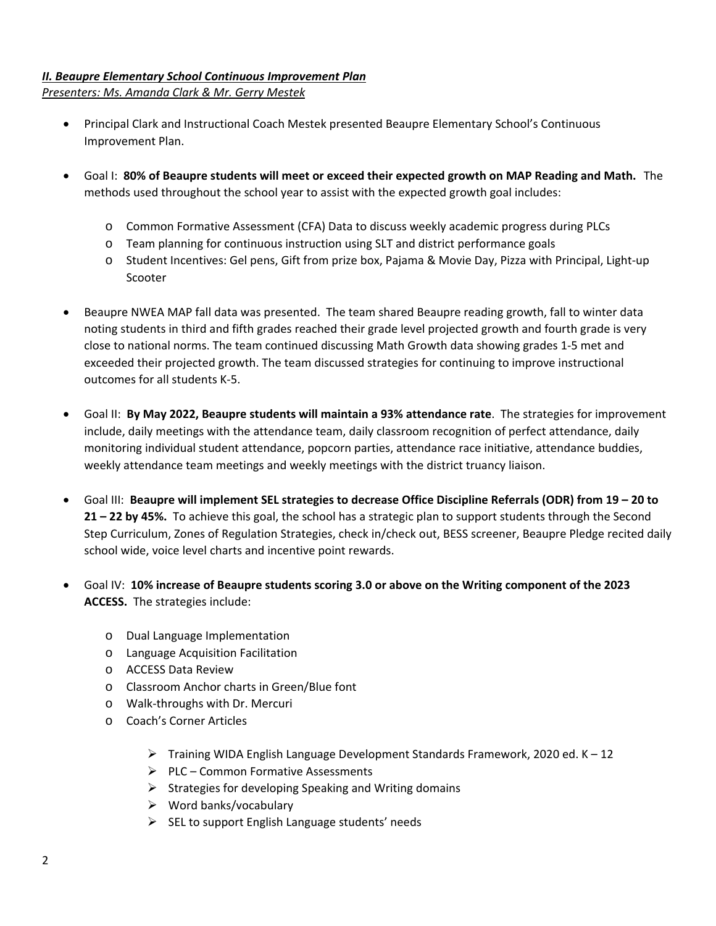# *II. Beaupre Elementary School Continuous Improvement Plan*

*Presenters: Ms. Amanda Clark & Mr. Gerry Mestek* 

- Principal Clark and Instructional Coach Mestek presented Beaupre Elementary School's Continuous Improvement Plan.
- Goal I: **80% of Beaupre students will meet or exceed their expected growth on MAP Reading and Math.** The methods used throughout the school year to assist with the expected growth goal includes:
	- o Common Formative Assessment (CFA) Data to discuss weekly academic progress during PLCs
	- o Team planning for continuous instruction using SLT and district performance goals
	- o Student Incentives: Gel pens, Gift from prize box, Pajama & Movie Day, Pizza with Principal, Light‐up Scooter
- Beaupre NWEA MAP fall data was presented. The team shared Beaupre reading growth, fall to winter data noting students in third and fifth grades reached their grade level projected growth and fourth grade is very close to national norms. The team continued discussing Math Growth data showing grades 1‐5 met and exceeded their projected growth. The team discussed strategies for continuing to improve instructional outcomes for all students K‐5.
- Goal II: **By May 2022, Beaupre students will maintain a 93% attendance rate**. The strategies for improvement include, daily meetings with the attendance team, daily classroom recognition of perfect attendance, daily monitoring individual student attendance, popcorn parties, attendance race initiative, attendance buddies, weekly attendance team meetings and weekly meetings with the district truancy liaison.
- Goal III: **Beaupre will implement SEL strategies to decrease Office Discipline Referrals (ODR) from 19 20 to 21 – 22 by 45%.** To achieve this goal, the school has a strategic plan to support students through the Second Step Curriculum, Zones of Regulation Strategies, check in/check out, BESS screener, Beaupre Pledge recited daily school wide, voice level charts and incentive point rewards.
- Goal IV: **10% increase of Beaupre students scoring 3.0 or above on the Writing component of the 2023 ACCESS.** The strategies include:
	- o Dual Language Implementation
	- o Language Acquisition Facilitation
	- o ACCESS Data Review
	- o Classroom Anchor charts in Green/Blue font
	- o Walk‐throughs with Dr. Mercuri
	- o Coach's Corner Articles
		- $\triangleright$  Training WIDA English Language Development Standards Framework, 2020 ed. K 12
		- $\triangleright$  PLC Common Formative Assessments
		- $\triangleright$  Strategies for developing Speaking and Writing domains
		- $\triangleright$  Word banks/vocabulary
		- $\triangleright$  SEL to support English Language students' needs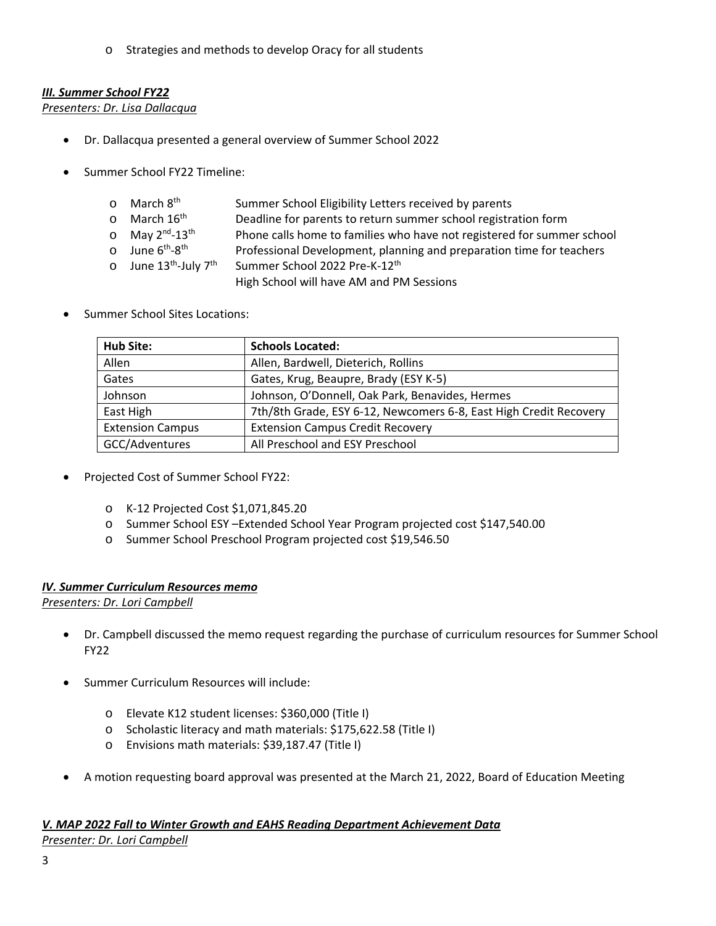o Strategies and methods to develop Oracy for all students

# *III. Summer School FY22*

*Presenters: Dr. Lisa Dallacqua* 

- Dr. Dallacqua presented a general overview of Summer School 2022
- Summer School FY22 Timeline:

| o March 8 <sup>th</sup>                       | Summer School Eligibility Letters received by parents                  |
|-----------------------------------------------|------------------------------------------------------------------------|
| o March 16 <sup>th</sup>                      | Deadline for parents to return summer school registration form         |
| $\circ$ May 2 <sup>nd</sup> -13 <sup>th</sup> | Phone calls home to families who have not registered for summer school |
| o June 6 <sup>th</sup> -8 <sup>th</sup>       | Professional Development, planning and preparation time for teachers   |
| o June $13^{\text{th}}$ -July $7^{\text{th}}$ | Summer School 2022 Pre-K-12th                                          |
|                                               | High School will have AM and PM Sessions                               |

Summer School Sites Locations:

| Hub Site:               | <b>Schools Located:</b>                                           |  |  |  |  |  |
|-------------------------|-------------------------------------------------------------------|--|--|--|--|--|
| Allen                   | Allen, Bardwell, Dieterich, Rollins                               |  |  |  |  |  |
| Gates                   | Gates, Krug, Beaupre, Brady (ESY K-5)                             |  |  |  |  |  |
| Johnson                 | Johnson, O'Donnell, Oak Park, Benavides, Hermes                   |  |  |  |  |  |
| East High               | 7th/8th Grade, ESY 6-12, Newcomers 6-8, East High Credit Recovery |  |  |  |  |  |
| <b>Extension Campus</b> | <b>Extension Campus Credit Recovery</b>                           |  |  |  |  |  |
| GCC/Adventures          | All Preschool and ESY Preschool                                   |  |  |  |  |  |

- Projected Cost of Summer School FY22:
	- o K‐12 Projected Cost \$1,071,845.20
	- o Summer School ESY –Extended School Year Program projected cost \$147,540.00
	- o Summer School Preschool Program projected cost \$19,546.50

#### *IV. Summer Curriculum Resources memo*

*Presenters: Dr. Lori Campbell* 

- Dr. Campbell discussed the memo request regarding the purchase of curriculum resources for Summer School FY22
- Summer Curriculum Resources will include:
	- o Elevate K12 student licenses: \$360,000 (Title I)
	- o Scholastic literacy and math materials: \$175,622.58 (Title I)
	- o Envisions math materials: \$39,187.47 (Title I)
- A motion requesting board approval was presented at the March 21, 2022, Board of Education Meeting

# *V. MAP 2022 Fall to Winter Growth and EAHS Reading Department Achievement Data*

*Presenter: Dr. Lori Campbell*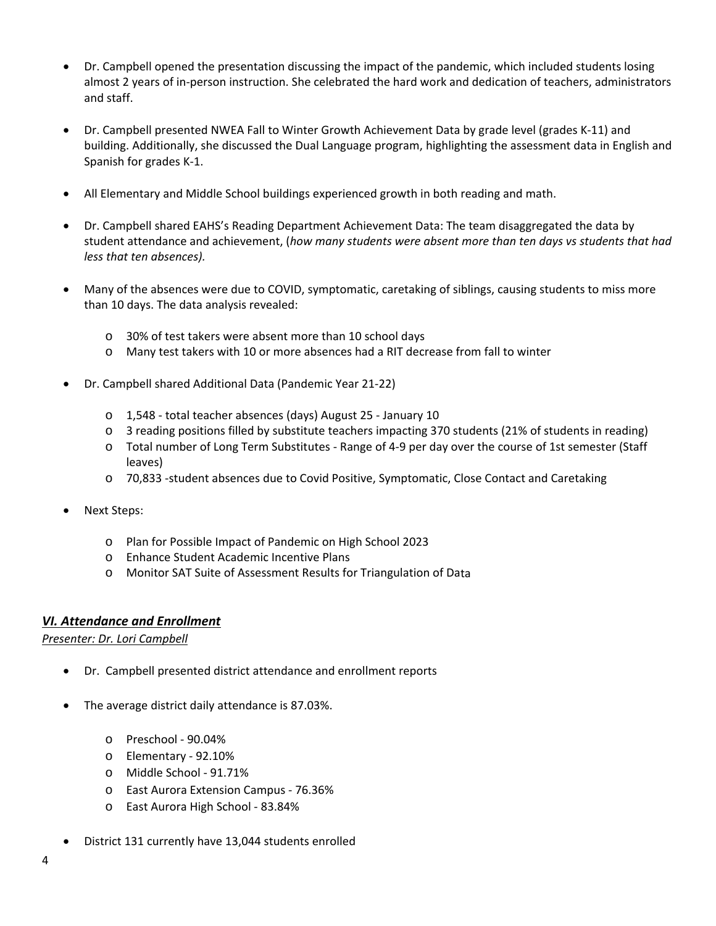- Dr. Campbell opened the presentation discussing the impact of the pandemic, which included students losing almost 2 years of in‐person instruction. She celebrated the hard work and dedication of teachers, administrators and staff.
- Dr. Campbell presented NWEA Fall to Winter Growth Achievement Data by grade level (grades K‐11) and building. Additionally, she discussed the Dual Language program, highlighting the assessment data in English and Spanish for grades K‐1.
- All Elementary and Middle School buildings experienced growth in both reading and math.
- Dr. Campbell shared EAHS's Reading Department Achievement Data: The team disaggregated the data by student attendance and achievement, (*how many students were absent more than ten days vs students that had less that ten absences).*
- Many of the absences were due to COVID, symptomatic, caretaking of siblings, causing students to miss more than 10 days. The data analysis revealed:
	- o 30% of test takers were absent more than 10 school days
	- o Many test takers with 10 or more absences had a RIT decrease from fall to winter
- Dr. Campbell shared Additional Data (Pandemic Year 21‐22)
	- o 1,548 ‐ total teacher absences (days) August 25 ‐ January 10
	- o 3 reading positions filled by substitute teachers impacting 370 students (21% of students in reading)
	- o Total number of Long Term Substitutes ‐ Range of 4‐9 per day over the course of 1st semester (Staff leaves)
	- o 70,833 ‐student absences due to Covid Positive, Symptomatic, Close Contact and Caretaking
- Next Steps:
	- o Plan for Possible Impact of Pandemic on High School 2023
	- o Enhance Student Academic Incentive Plans
	- o Monitor SAT Suite of Assessment Results for Triangulation of Data

# *VI. Attendance and Enrollment*

*Presenter: Dr. Lori Campbell* 

- Dr. Campbell presented district attendance and enrollment reports
- The average district daily attendance is 87.03%.
	- o Preschool ‐ 90.04%
	- o Elementary ‐ 92.10%
	- o Middle School ‐ 91.71%
	- o East Aurora Extension Campus ‐ 76.36%
	- o East Aurora High School ‐ 83.84%
- District 131 currently have 13,044 students enrolled